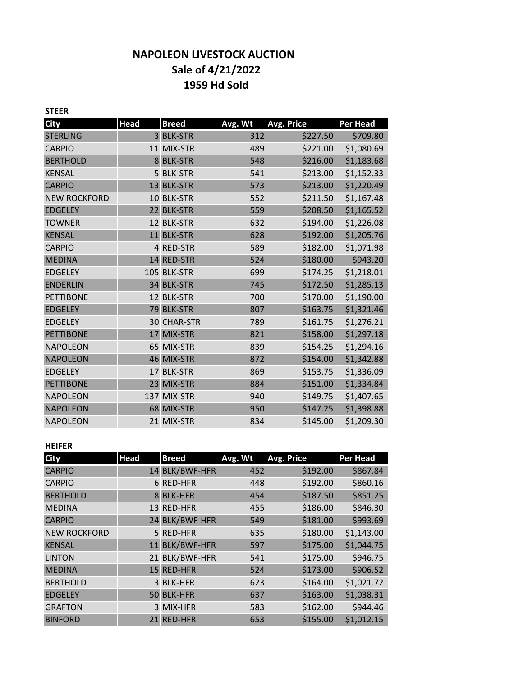# **NAPOLEON LIVESTOCK AUCTION Sale of 4/21/2022 1959 Hd Sold**

| <b>STEER</b>        |             |                    |         |                   |                 |
|---------------------|-------------|--------------------|---------|-------------------|-----------------|
| <b>City</b>         | <b>Head</b> | <b>Breed</b>       | Avg. Wt | <b>Avg. Price</b> | <b>Per Head</b> |
| <b>STERLING</b>     |             | 3 BLK-STR          | 312     | \$227.50          | \$709.80        |
| <b>CARPIO</b>       |             | 11 MIX-STR         | 489     | \$221.00          | \$1,080.69      |
| <b>BERTHOLD</b>     | 8           | <b>BLK-STR</b>     | 548     | \$216.00          | \$1,183.68      |
| <b>KENSAL</b>       |             | 5 BLK-STR          | 541     | \$213.00          | \$1,152.33      |
| <b>CARPIO</b>       | 13          | <b>BLK-STR</b>     | 573     | \$213.00          | \$1,220.49      |
| <b>NEW ROCKFORD</b> |             | 10 BLK-STR         | 552     | \$211.50          | \$1,167.48      |
| <b>EDGELEY</b>      | 22          | <b>BLK-STR</b>     | 559     | \$208.50          | \$1,165.52      |
| <b>TOWNER</b>       |             | 12 BLK-STR         | 632     | \$194.00          | \$1,226.08      |
| <b>KENSAL</b>       |             | 11 BLK-STR         | 628     | \$192.00          | \$1,205.76      |
| <b>CARPIO</b>       |             | 4 RED-STR          | 589     | \$182.00          | \$1,071.98      |
| <b>MEDINA</b>       | 14          | <b>RED-STR</b>     | 524     | \$180.00          | \$943.20        |
| <b>EDGELEY</b>      |             | 105 BLK-STR        | 699     | \$174.25          | \$1,218.01      |
| <b>ENDERLIN</b>     |             | 34 BLK-STR         | 745     | \$172.50          | \$1,285.13      |
| <b>PETTIBONE</b>    |             | 12 BLK-STR         | 700     | \$170.00          | \$1,190.00      |
| <b>EDGELEY</b>      |             | 79 BLK-STR         | 807     | \$163.75          | \$1,321.46      |
| <b>EDGELEY</b>      |             | <b>30 CHAR-STR</b> | 789     | \$161.75          | \$1,276.21      |
| <b>PETTIBONE</b>    |             | 17 MIX-STR         | 821     | \$158.00          | \$1,297.18      |
| <b>NAPOLEON</b>     |             | 65 MIX-STR         | 839     | \$154.25          | \$1,294.16      |
| <b>NAPOLEON</b>     |             | 46 MIX-STR         | 872     | \$154.00          | \$1,342.88      |
| <b>EDGELEY</b>      |             | 17 BLK-STR         | 869     | \$153.75          | \$1,336.09      |
| <b>PETTIBONE</b>    | 23          | MIX-STR            | 884     | \$151.00          | \$1,334.84      |
| <b>NAPOLEON</b>     |             | 137 MIX-STR        | 940     | \$149.75          | \$1,407.65      |
| <b>NAPOLEON</b>     |             | 68 MIX-STR         | 950     | \$147.25          | \$1,398.88      |
| <b>NAPOLEON</b>     |             | 21 MIX-STR         | 834     | \$145.00          | \$1,209.30      |

#### **HEIFER**

| <b>City</b>         | <b>Head</b> | <b>Breed</b>   | Avg. Wt | Avg. Price | <b>Per Head</b> |  |
|---------------------|-------------|----------------|---------|------------|-----------------|--|
| <b>CARPIO</b>       |             | 14 BLK/BWF-HFR | 452     | \$192.00   | \$867.84        |  |
| <b>CARPIO</b>       |             | 6 RED-HFR      | 448     | \$192.00   | \$860.16        |  |
| <b>BERTHOLD</b>     | 8           | <b>BLK-HFR</b> | 454     | \$187.50   | \$851.25        |  |
| <b>MEDINA</b>       |             | 13 RED-HFR     | 455     | \$186.00   | \$846.30        |  |
| <b>CARPIO</b>       |             | 24 BLK/BWF-HFR | 549     | \$181.00   | \$993.69        |  |
| <b>NEW ROCKFORD</b> |             | 5 RED-HFR      | 635     | \$180.00   | \$1,143.00      |  |
| <b>KENSAL</b>       |             | 11 BLK/BWF-HFR | 597     | \$175.00   | \$1,044.75      |  |
| <b>LINTON</b>       |             | 21 BLK/BWF-HFR | 541     | \$175.00   | \$946.75        |  |
| <b>MEDINA</b>       |             | 15 RED-HFR     | 524     | \$173.00   | \$906.52        |  |
| <b>BERTHOLD</b>     |             | 3 BLK-HFR      | 623     | \$164.00   | \$1,021.72      |  |
| <b>EDGELEY</b>      |             | 50 BLK-HFR     | 637     | \$163.00   | \$1,038.31      |  |
| <b>GRAFTON</b>      |             | 3 MIX-HFR      | 583     | \$162.00   | \$944.46        |  |
| <b>BINFORD</b>      |             | 21 RED-HFR     | 653     | \$155.00   | \$1,012.15      |  |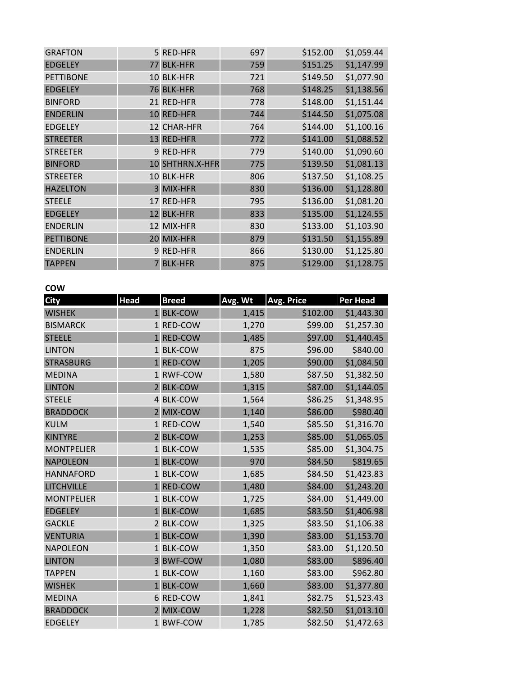| <b>GRAFTON</b>   | 5 RED-HFR       | 697 | \$152.00 | \$1,059.44 |
|------------------|-----------------|-----|----------|------------|
| <b>EDGELEY</b>   | 77 BLK-HFR      | 759 | \$151.25 | \$1,147.99 |
| <b>PETTIBONE</b> | 10 BLK-HFR      | 721 | \$149.50 | \$1,077.90 |
| <b>EDGELEY</b>   | 76 BLK-HFR      | 768 | \$148.25 | \$1,138.56 |
| <b>BINFORD</b>   | 21 RED-HFR      | 778 | \$148.00 | \$1,151.44 |
| <b>ENDERLIN</b>  | 10 RED-HFR      | 744 | \$144.50 | \$1,075.08 |
| <b>EDGELEY</b>   | 12 CHAR-HFR     | 764 | \$144.00 | \$1,100.16 |
| <b>STREETER</b>  | 13 RED-HFR      | 772 | \$141.00 | \$1,088.52 |
| <b>STREETER</b>  | 9 RED-HFR       | 779 | \$140.00 | \$1,090.60 |
| <b>BINFORD</b>   | 10 SHTHRN.X-HFR | 775 | \$139.50 | \$1,081.13 |
| <b>STREETER</b>  | 10 BLK-HFR      | 806 | \$137.50 | \$1,108.25 |
| <b>HAZELTON</b>  | 3 MIX-HFR       | 830 | \$136.00 | \$1,128.80 |
| <b>STEELE</b>    | 17 RED-HFR      | 795 | \$136.00 | \$1,081.20 |
| <b>EDGELEY</b>   | 12 BLK-HFR      | 833 | \$135.00 | \$1,124.55 |
| <b>ENDERLIN</b>  | 12 MIX-HFR      | 830 | \$133.00 | \$1,103.90 |
| <b>PETTIBONE</b> | 20 MIX-HFR      | 879 | \$131.50 | \$1,155.89 |
| <b>ENDERLIN</b>  | 9 RED-HFR       | 866 | \$130.00 | \$1,125.80 |
| <b>TAPPEN</b>    | <b>BLK-HFR</b>  | 875 | \$129.00 | \$1,128.75 |

### **COW**

| <b>City</b>       | <b>Head</b>    | <b>Breed</b>   | Avg. Wt | <b>Avg. Price</b> | Per Head   |
|-------------------|----------------|----------------|---------|-------------------|------------|
| <b>WISHEK</b>     |                | 1 BLK-COW      | 1,415   | \$102.00          | \$1,443.30 |
| <b>BISMARCK</b>   |                | 1 RED-COW      | 1,270   | \$99.00           | \$1,257.30 |
| <b>STEELE</b>     |                | 1 RED-COW      | 1,485   | \$97.00           | \$1,440.45 |
| <b>LINTON</b>     |                | 1 BLK-COW      | 875     | \$96.00           | \$840.00   |
| <b>STRASBURG</b>  |                | 1 RED-COW      | 1,205   | \$90.00           | \$1,084.50 |
| <b>MEDINA</b>     |                | 1 RWF-COW      | 1,580   | \$87.50           | \$1,382.50 |
| <b>LINTON</b>     |                | 2 BLK-COW      | 1,315   | \$87.00           | \$1,144.05 |
| <b>STEELE</b>     |                | 4 BLK-COW      | 1,564   | \$86.25           | \$1,348.95 |
| <b>BRADDOCK</b>   |                | 2 MIX-COW      | 1,140   | \$86.00           | \$980.40   |
| <b>KULM</b>       |                | 1 RED-COW      | 1,540   | \$85.50           | \$1,316.70 |
| <b>KINTYRE</b>    |                | 2 BLK-COW      | 1,253   | \$85.00           | \$1,065.05 |
| <b>MONTPELIER</b> |                | 1 BLK-COW      | 1,535   | \$85.00           | \$1,304.75 |
| <b>NAPOLEON</b>   |                | 1 BLK-COW      | 970     | \$84.50           | \$819.65   |
| <b>HANNAFORD</b>  |                | 1 BLK-COW      | 1,685   | \$84.50           | \$1,423.83 |
| <b>LITCHVILLE</b> | $\mathbf{1}$   | <b>RED-COW</b> | 1,480   | \$84.00           | \$1,243.20 |
| <b>MONTPELIER</b> |                | 1 BLK-COW      | 1,725   | \$84.00           | \$1,449.00 |
| <b>EDGELEY</b>    |                | 1 BLK-COW      | 1,685   | \$83.50           | \$1,406.98 |
| <b>GACKLE</b>     |                | 2 BLK-COW      | 1,325   | \$83.50           | \$1,106.38 |
| <b>VENTURIA</b>   | $\overline{1}$ | <b>BLK-COW</b> | 1,390   | \$83.00           | \$1,153.70 |
| <b>NAPOLEON</b>   |                | 1 BLK-COW      | 1,350   | \$83.00           | \$1,120.50 |
| <b>LINTON</b>     | $\overline{3}$ | <b>BWF-COW</b> | 1,080   | \$83.00           | \$896.40   |
| <b>TAPPEN</b>     |                | 1 BLK-COW      | 1,160   | \$83.00           | \$962.80   |
| <b>WISHEK</b>     | 1              | <b>BLK-COW</b> | 1,660   | \$83.00           | \$1,377.80 |
| <b>MEDINA</b>     | 6              | <b>RED-COW</b> | 1,841   | \$82.75           | \$1,523.43 |
| <b>BRADDOCK</b>   |                | 2 MIX-COW      | 1,228   | \$82.50           | \$1,013.10 |
| <b>EDGELEY</b>    |                | 1 BWF-COW      | 1,785   | \$82.50           | \$1,472.63 |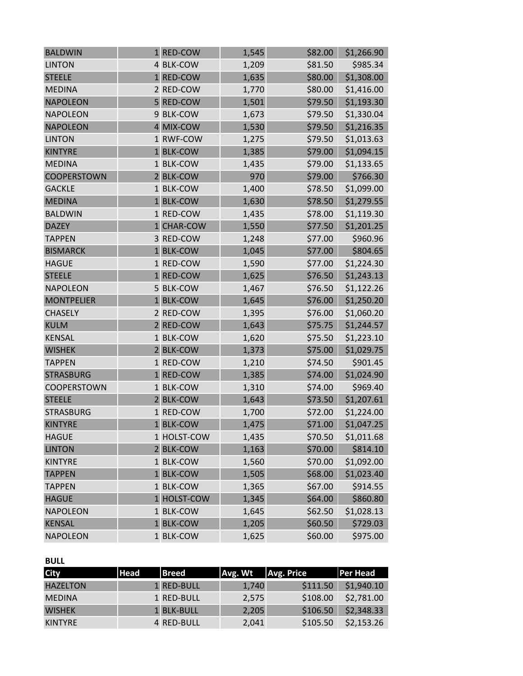| <b>BALDWIN</b>    | 1 RED-COW   | 1,545 | \$82.00 | \$1,266.90 |
|-------------------|-------------|-------|---------|------------|
| <b>LINTON</b>     | 4 BLK-COW   | 1,209 | \$81.50 | \$985.34   |
| <b>STEELE</b>     | 1 RED-COW   | 1,635 | \$80.00 | \$1,308.00 |
| <b>MEDINA</b>     | 2 RED-COW   | 1,770 | \$80.00 | \$1,416.00 |
| <b>NAPOLEON</b>   | 5 RED-COW   | 1,501 | \$79.50 | \$1,193.30 |
| <b>NAPOLEON</b>   | 9 BLK-COW   | 1,673 | \$79.50 | \$1,330.04 |
| <b>NAPOLEON</b>   | 4 MIX-COW   | 1,530 | \$79.50 | \$1,216.35 |
| <b>LINTON</b>     | 1 RWF-COW   | 1,275 | \$79.50 | \$1,013.63 |
| <b>KINTYRE</b>    | 1 BLK-COW   | 1,385 | \$79.00 | \$1,094.15 |
| <b>MEDINA</b>     | 1 BLK-COW   | 1,435 | \$79.00 | \$1,133.65 |
| COOPERSTOWN       | 2 BLK-COW   | 970   | \$79.00 | \$766.30   |
| <b>GACKLE</b>     | 1 BLK-COW   | 1,400 | \$78.50 | \$1,099.00 |
| <b>MEDINA</b>     | 1 BLK-COW   | 1,630 | \$78.50 | \$1,279.55 |
| <b>BALDWIN</b>    | 1 RED-COW   | 1,435 | \$78.00 | \$1,119.30 |
| <b>DAZEY</b>      | 1 CHAR-COW  | 1,550 | \$77.50 | \$1,201.25 |
| <b>TAPPEN</b>     | 3 RED-COW   | 1,248 | \$77.00 | \$960.96   |
| <b>BISMARCK</b>   | 1 BLK-COW   | 1,045 | \$77.00 | \$804.65   |
| <b>HAGUE</b>      | 1 RED-COW   | 1,590 | \$77.00 | \$1,224.30 |
| <b>STEELE</b>     | 1 RED-COW   | 1,625 | \$76.50 | \$1,243.13 |
| <b>NAPOLEON</b>   | 5 BLK-COW   | 1,467 | \$76.50 | \$1,122.26 |
| <b>MONTPELIER</b> | 1 BLK-COW   | 1,645 | \$76.00 | \$1,250.20 |
| <b>CHASELY</b>    | 2 RED-COW   | 1,395 | \$76.00 | \$1,060.20 |
| <b>KULM</b>       | 2 RED-COW   | 1,643 | \$75.75 | \$1,244.57 |
| <b>KENSAL</b>     | 1 BLK-COW   | 1,620 | \$75.50 | \$1,223.10 |
| <b>WISHEK</b>     | 2 BLK-COW   | 1,373 | \$75.00 | \$1,029.75 |
| <b>TAPPEN</b>     | 1 RED-COW   | 1,210 | \$74.50 | \$901.45   |
| <b>STRASBURG</b>  | 1 RED-COW   | 1,385 | \$74.00 | \$1,024.90 |
| COOPERSTOWN       | 1 BLK-COW   | 1,310 | \$74.00 | \$969.40   |
| <b>STEELE</b>     | 2 BLK-COW   | 1,643 | \$73.50 | \$1,207.61 |
| <b>STRASBURG</b>  | 1 RED-COW   | 1,700 | \$72.00 | \$1,224.00 |
| <b>KINTYRE</b>    | 1 BLK-COW   | 1,475 | \$71.00 | \$1,047.25 |
| <b>HAGUE</b>      | 1 HOLST-COW | 1,435 | \$70.50 | \$1,011.68 |
| <b>LINTON</b>     | 2 BLK-COW   | 1,163 | \$70.00 | \$814.10   |
| <b>KINTYRE</b>    | 1 BLK-COW   | 1,560 | \$70.00 | \$1,092.00 |
| <b>TAPPEN</b>     | 1 BLK-COW   | 1,505 | \$68.00 | \$1,023.40 |
| <b>TAPPEN</b>     | 1 BLK-COW   | 1,365 | \$67.00 | \$914.55   |
| <b>HAGUE</b>      | 1 HOLST-COW | 1,345 | \$64.00 | \$860.80   |
| <b>NAPOLEON</b>   | 1 BLK-COW   | 1,645 | \$62.50 | \$1,028.13 |
| <b>KENSAL</b>     | 1 BLK-COW   | 1,205 | \$60.50 | \$729.03   |
| <b>NAPOLEON</b>   | 1 BLK-COW   | 1,625 | \$60.00 | \$975.00   |

## **BULL**

| <b>City</b>     | <b>Head</b> | <b>Breed</b> | Avg. Wt | Avg. Price | Per Head   |
|-----------------|-------------|--------------|---------|------------|------------|
| <b>HAZELTON</b> |             | 1 RED-BULL   | 1,740   | \$111.50   | \$1,940.10 |
| <b>MEDINA</b>   |             | 1 RED-BULL   | 2,575   | \$108.00   | \$2,781.00 |
| <b>WISHEK</b>   |             | 1 BLK-BULL   | 2,205   | \$106.50   | \$2,348.33 |
| <b>KINTYRE</b>  |             | 4 RED-BULL   | 2,041   | \$105.50   | \$2,153.26 |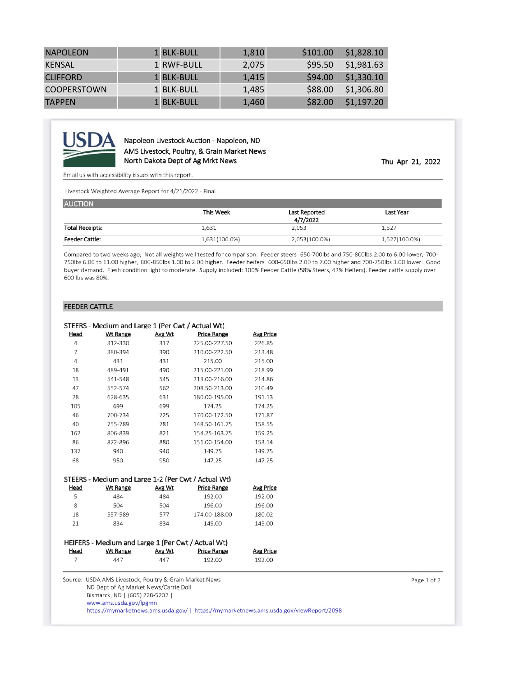| <b>NAPOLEON</b>    | 1 BLK-BULL | 1,810 | \$101.00 | \$1,828.10 |
|--------------------|------------|-------|----------|------------|
| <b>KENSAL</b>      | 1 RWF-BULL | 2,075 | \$95.50  | \$1,981.63 |
| <b>CLIFFORD</b>    | 1 BLK-BULL | 1,415 | \$94.00  | \$1,330.10 |
| <b>COOPERSTOWN</b> | 1 BLK-BULL | 1,485 | \$88.00  | \$1,306.80 |
| <b>TAPPEN</b>      | 1 BLK-BULL | 1,460 | \$82.00  | \$1,197.20 |



Napoleon Livestock Auction - Napoleon, ND AMS Livestock, Poultry, & Grain Market News North Dakota Dept of Ag Mrkt News

Thu Apr 21, 2022

Email us with accessibility issues with this report.

Livestock Weighted Average Report for 4/21/2022 - Final

| <b>AUCTION</b>         |                  |                           |               |
|------------------------|------------------|---------------------------|---------------|
|                        | <b>This Week</b> | Last Reported<br>4/7/2022 | Last Year     |
| <b>Total Receipts:</b> | 1,631            | 2,053                     | 1,527         |
| <b>Feeder Cattle:</b>  | 1,631(100.0%)    | 2,053(100.0%)             | 1,527(100.0%) |

Compared to two weeks ago; Not all weights well tested for comparison. Feeder steers 650-700lbs and 750-800lbs 2.00 to 6.00 lower, 700-750lbs 6.00 to 11.00 higher, 800-850lbs 1.00 to 2.00 higher. Feeder heifers 600-650lbs 2.00 to 7.00 higher and 700-750lbs 3.00 lower. Good buyer demand. Flesh condition light to moderate. Supply included: 100% Feeder Cattle (58% Steers, 42% Heifers). Feeder cattle supply over 600 lbs was 80%.

#### **FEEDER CATTLE**

|                | STEERS - Medium and Large 1 (Per Cwt / Actual Wt)  |        |                                                     |                  |
|----------------|----------------------------------------------------|--------|-----------------------------------------------------|------------------|
| Head           | <b>Wt Range</b>                                    | Avg Wt | <b>Price Range</b>                                  | <b>Avg Price</b> |
| $\overline{4}$ | 312-330                                            | 317    | 225.00-227.50                                       | 226.85           |
| 7              | 380-394                                            | 390    | 210.00-222.50                                       | 213.48           |
| 4              | 431                                                | 431    | 215.00                                              | 215.00           |
| 18             | 489-491                                            | 490    | 215.00-221.00                                       | 218.99           |
| 13             | 541-548                                            | 545    | 213.00-216.00                                       | 214.86           |
| 47             | 552-574                                            | 562    | 208.50-213.00                                       | 210.49           |
| 28             | 628-635                                            | 631    | 180.00-195.00                                       | 191.13           |
| 105            | 699                                                | 699    | 174.25                                              | 174.25           |
| 46             | 700-734                                            | 725    | 170.00-172.50                                       | 171.87           |
| 40             | 755-789                                            | 781    | 148.50-161.75                                       | 158.55           |
| 162            | 806-839                                            | 821    | 154.25-163.75                                       | 159.25           |
| 86             | 872-896                                            | 880    | 151.00-154.00                                       | 153.14           |
| 137            | 940                                                | 940    | 149.75                                              | 149.75           |
| 68             | 950                                                | 950    | 147.25                                              | 147.25           |
|                |                                                    |        |                                                     |                  |
|                |                                                    |        | STEERS - Medium and Large 1-2 (Per Cwt / Actual Wt) |                  |
| Head           | <b>Wt Range</b>                                    | Avg Wt | <b>Price Range</b>                                  | <b>Avg Price</b> |
| 5              | 484                                                | 484    | 192.00                                              | 192.00           |
| 8              | 504                                                | 504    | 196.00                                              | 196.00           |
| 18             | 557-589                                            | 577    | 174.00-188.00                                       | 180.02           |
| 21             | 834                                                | 834    | 145.00                                              | 145.00           |
|                |                                                    |        |                                                     |                  |
|                | HEIFERS - Medium and Large 1 (Per Cwt / Actual Wt) |        |                                                     |                  |
|                | <b>Wt Range</b>                                    | Avg Wt | <b>Price Range</b>                                  | <b>Avg Price</b> |
| Head           |                                                    |        | 192.00                                              | 192.00           |
| 7              | 447                                                | 447    |                                                     |                  |

Page 1 of 2